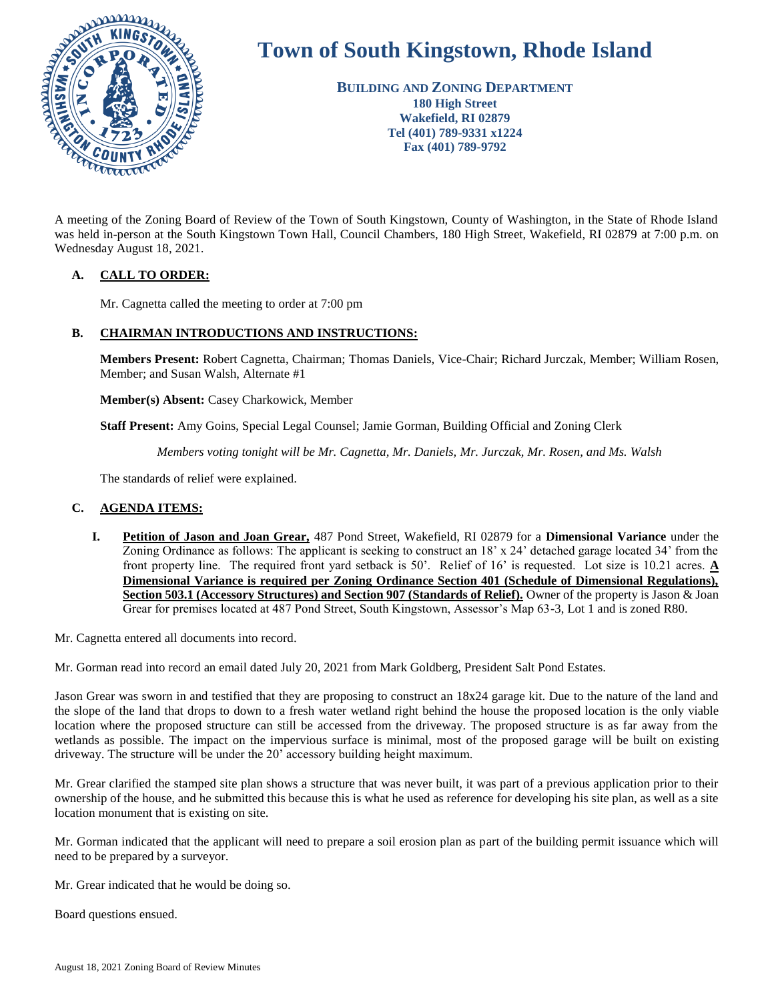

# **Town of South Kingstown, Rhode Island**

**BUILDING AND ZONING DEPARTMENT 180 High Street Wakefield, RI 02879 Tel (401) 789-9331 x1224 Fax (401) 789-9792**

A meeting of the Zoning Board of Review of the Town of South Kingstown, County of Washington, in the State of Rhode Island was held in-person at the South Kingstown Town Hall, Council Chambers, 180 High Street, Wakefield, RI 02879 at 7:00 p.m. on Wednesday August 18, 2021.

# **A. CALL TO ORDER:**

Mr. Cagnetta called the meeting to order at 7:00 pm

# **B. CHAIRMAN INTRODUCTIONS AND INSTRUCTIONS:**

**Members Present:** Robert Cagnetta, Chairman; Thomas Daniels, Vice-Chair; Richard Jurczak, Member; William Rosen, Member; and Susan Walsh, Alternate #1

**Member(s) Absent:** Casey Charkowick, Member

**Staff Present:** Amy Goins, Special Legal Counsel; Jamie Gorman, Building Official and Zoning Clerk

*Members voting tonight will be Mr. Cagnetta, Mr. Daniels, Mr. Jurczak, Mr. Rosen, and Ms. Walsh*

The standards of relief were explained.

# **C. AGENDA ITEMS:**

**I. Petition of Jason and Joan Grear,** 487 Pond Street, Wakefield, RI 02879 for a **Dimensional Variance** under the Zoning Ordinance as follows: The applicant is seeking to construct an 18' x 24' detached garage located 34' from the front property line. The required front yard setback is 50'. Relief of 16' is requested. Lot size is 10.21 acres. **A Dimensional Variance is required per Zoning Ordinance Section 401 (Schedule of Dimensional Regulations), Section 503.1 (Accessory Structures) and Section 907 (Standards of Relief).** Owner of the property is Jason & Joan Grear for premises located at 487 Pond Street, South Kingstown, Assessor's Map 63-3, Lot 1 and is zoned R80.

Mr. Cagnetta entered all documents into record.

Mr. Gorman read into record an email dated July 20, 2021 from Mark Goldberg, President Salt Pond Estates.

Jason Grear was sworn in and testified that they are proposing to construct an 18x24 garage kit. Due to the nature of the land and the slope of the land that drops to down to a fresh water wetland right behind the house the proposed location is the only viable location where the proposed structure can still be accessed from the driveway. The proposed structure is as far away from the wetlands as possible. The impact on the impervious surface is minimal, most of the proposed garage will be built on existing driveway. The structure will be under the 20' accessory building height maximum.

Mr. Grear clarified the stamped site plan shows a structure that was never built, it was part of a previous application prior to their ownership of the house, and he submitted this because this is what he used as reference for developing his site plan, as well as a site location monument that is existing on site.

Mr. Gorman indicated that the applicant will need to prepare a soil erosion plan as part of the building permit issuance which will need to be prepared by a surveyor.

Mr. Grear indicated that he would be doing so.

Board questions ensued.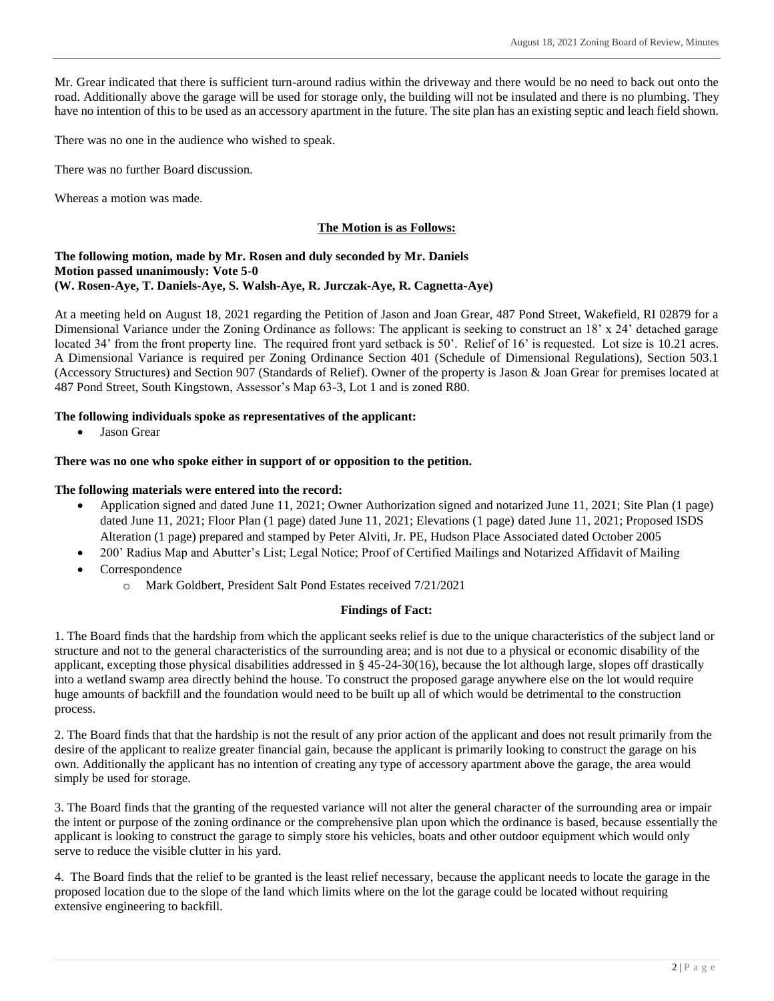Mr. Grear indicated that there is sufficient turn-around radius within the driveway and there would be no need to back out onto the road. Additionally above the garage will be used for storage only, the building will not be insulated and there is no plumbing. They have no intention of this to be used as an accessory apartment in the future. The site plan has an existing septic and leach field shown.

There was no one in the audience who wished to speak.

There was no further Board discussion.

Whereas a motion was made.

# **The Motion is as Follows:**

#### **The following motion, made by Mr. Rosen and duly seconded by Mr. Daniels Motion passed unanimously: Vote 5-0 (W. Rosen-Aye, T. Daniels-Aye, S. Walsh-Aye, R. Jurczak-Aye, R. Cagnetta-Aye)**

At a meeting held on August 18, 2021 regarding the Petition of Jason and Joan Grear, 487 Pond Street, Wakefield, RI 02879 for a Dimensional Variance under the Zoning Ordinance as follows: The applicant is seeking to construct an 18' x 24' detached garage located 34' from the front property line. The required front yard setback is 50'. Relief of 16' is requested. Lot size is 10.21 acres. A Dimensional Variance is required per Zoning Ordinance Section 401 (Schedule of Dimensional Regulations), Section 503.1 (Accessory Structures) and Section 907 (Standards of Relief). Owner of the property is Jason & Joan Grear for premises located at 487 Pond Street, South Kingstown, Assessor's Map 63-3, Lot 1 and is zoned R80.

# **The following individuals spoke as representatives of the applicant:**

• Jason Grear

#### **There was no one who spoke either in support of or opposition to the petition.**

#### **The following materials were entered into the record:**

- Application signed and dated June 11, 2021; Owner Authorization signed and notarized June 11, 2021; Site Plan (1 page) dated June 11, 2021; Floor Plan (1 page) dated June 11, 2021; Elevations (1 page) dated June 11, 2021; Proposed ISDS Alteration (1 page) prepared and stamped by Peter Alviti, Jr. PE, Hudson Place Associated dated October 2005
- 200' Radius Map and Abutter's List; Legal Notice; Proof of Certified Mailings and Notarized Affidavit of Mailing
- Correspondence
	- o Mark Goldbert, President Salt Pond Estates received 7/21/2021

# **Findings of Fact:**

1. The Board finds that the hardship from which the applicant seeks relief is due to the unique characteristics of the subject land or structure and not to the general characteristics of the surrounding area; and is not due to a physical or economic disability of the applicant, excepting those physical disabilities addressed in  $\S$  45-24-30(16), because the lot although large, slopes off drastically into a wetland swamp area directly behind the house. To construct the proposed garage anywhere else on the lot would require huge amounts of backfill and the foundation would need to be built up all of which would be detrimental to the construction process.

2. The Board finds that that the hardship is not the result of any prior action of the applicant and does not result primarily from the desire of the applicant to realize greater financial gain, because the applicant is primarily looking to construct the garage on his own. Additionally the applicant has no intention of creating any type of accessory apartment above the garage, the area would simply be used for storage.

3. The Board finds that the granting of the requested variance will not alter the general character of the surrounding area or impair the intent or purpose of the zoning ordinance or the comprehensive plan upon which the ordinance is based, because essentially the applicant is looking to construct the garage to simply store his vehicles, boats and other outdoor equipment which would only serve to reduce the visible clutter in his yard.

4. The Board finds that the relief to be granted is the least relief necessary, because the applicant needs to locate the garage in the proposed location due to the slope of the land which limits where on the lot the garage could be located without requiring extensive engineering to backfill.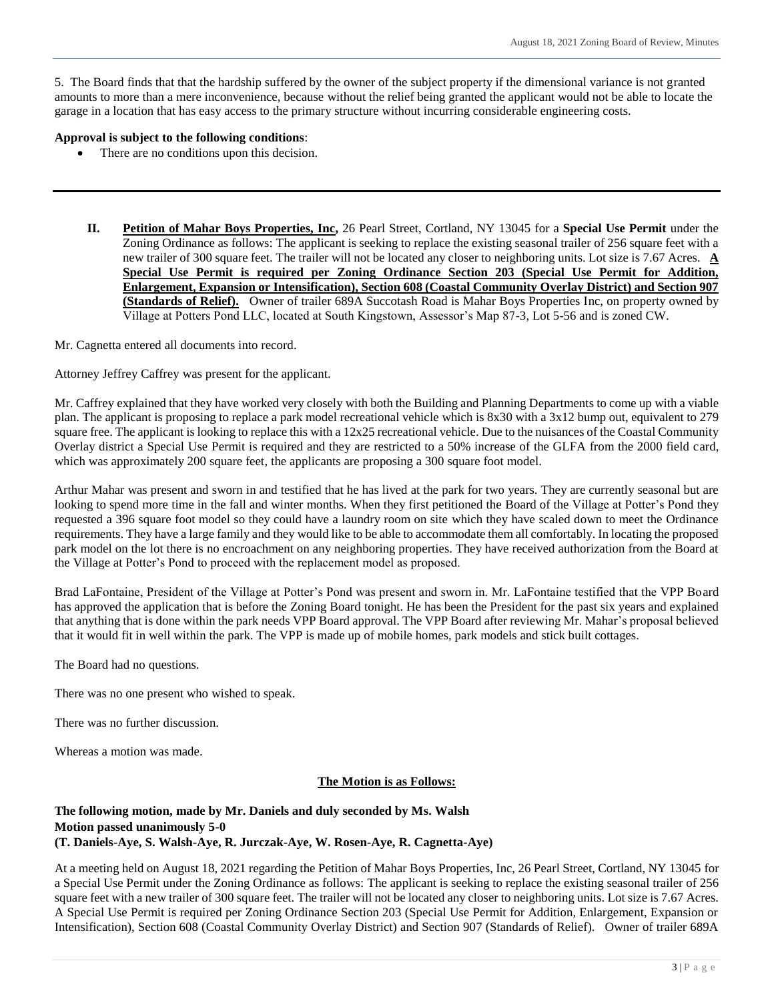5. The Board finds that that the hardship suffered by the owner of the subject property if the dimensional variance is not granted amounts to more than a mere inconvenience, because without the relief being granted the applicant would not be able to locate the garage in a location that has easy access to the primary structure without incurring considerable engineering costs.

#### **Approval is subject to the following conditions**:

- There are no conditions upon this decision.
	- **II. Petition of Mahar Boys Properties, Inc,** 26 Pearl Street, Cortland, NY 13045 for a **Special Use Permit** under the Zoning Ordinance as follows: The applicant is seeking to replace the existing seasonal trailer of 256 square feet with a new trailer of 300 square feet. The trailer will not be located any closer to neighboring units. Lot size is 7.67 Acres. **A Special Use Permit is required per Zoning Ordinance Section 203 (Special Use Permit for Addition, Enlargement, Expansion or Intensification), Section 608 (Coastal Community Overlay District) and Section 907 (Standards of Relief).** Owner of trailer 689A Succotash Road is Mahar Boys Properties Inc, on property owned by Village at Potters Pond LLC, located at South Kingstown, Assessor's Map 87-3, Lot 5-56 and is zoned CW.

Mr. Cagnetta entered all documents into record.

Attorney Jeffrey Caffrey was present for the applicant.

Mr. Caffrey explained that they have worked very closely with both the Building and Planning Departments to come up with a viable plan. The applicant is proposing to replace a park model recreational vehicle which is 8x30 with a 3x12 bump out, equivalent to 279 square free. The applicant is looking to replace this with a 12x25 recreational vehicle. Due to the nuisances of the Coastal Community Overlay district a Special Use Permit is required and they are restricted to a 50% increase of the GLFA from the 2000 field card, which was approximately 200 square feet, the applicants are proposing a 300 square foot model.

Arthur Mahar was present and sworn in and testified that he has lived at the park for two years. They are currently seasonal but are looking to spend more time in the fall and winter months. When they first petitioned the Board of the Village at Potter's Pond they requested a 396 square foot model so they could have a laundry room on site which they have scaled down to meet the Ordinance requirements. They have a large family and they would like to be able to accommodate them all comfortably. In locating the proposed park model on the lot there is no encroachment on any neighboring properties. They have received authorization from the Board at the Village at Potter's Pond to proceed with the replacement model as proposed.

Brad LaFontaine, President of the Village at Potter's Pond was present and sworn in. Mr. LaFontaine testified that the VPP Board has approved the application that is before the Zoning Board tonight. He has been the President for the past six years and explained that anything that is done within the park needs VPP Board approval. The VPP Board after reviewing Mr. Mahar's proposal believed that it would fit in well within the park. The VPP is made up of mobile homes, park models and stick built cottages.

The Board had no questions.

There was no one present who wished to speak.

There was no further discussion.

Whereas a motion was made.

# **The Motion is as Follows:**

# **The following motion, made by Mr. Daniels and duly seconded by Ms. Walsh Motion passed unanimously 5-0 (T. Daniels-Aye, S. Walsh-Aye, R. Jurczak-Aye, W. Rosen-Aye, R. Cagnetta-Aye)**

At a meeting held on August 18, 2021 regarding the Petition of Mahar Boys Properties, Inc, 26 Pearl Street, Cortland, NY 13045 for a Special Use Permit under the Zoning Ordinance as follows: The applicant is seeking to replace the existing seasonal trailer of 256 square feet with a new trailer of 300 square feet. The trailer will not be located any closer to neighboring units. Lot size is 7.67 Acres. A Special Use Permit is required per Zoning Ordinance Section 203 (Special Use Permit for Addition, Enlargement, Expansion or Intensification), Section 608 (Coastal Community Overlay District) and Section 907 (Standards of Relief). Owner of trailer 689A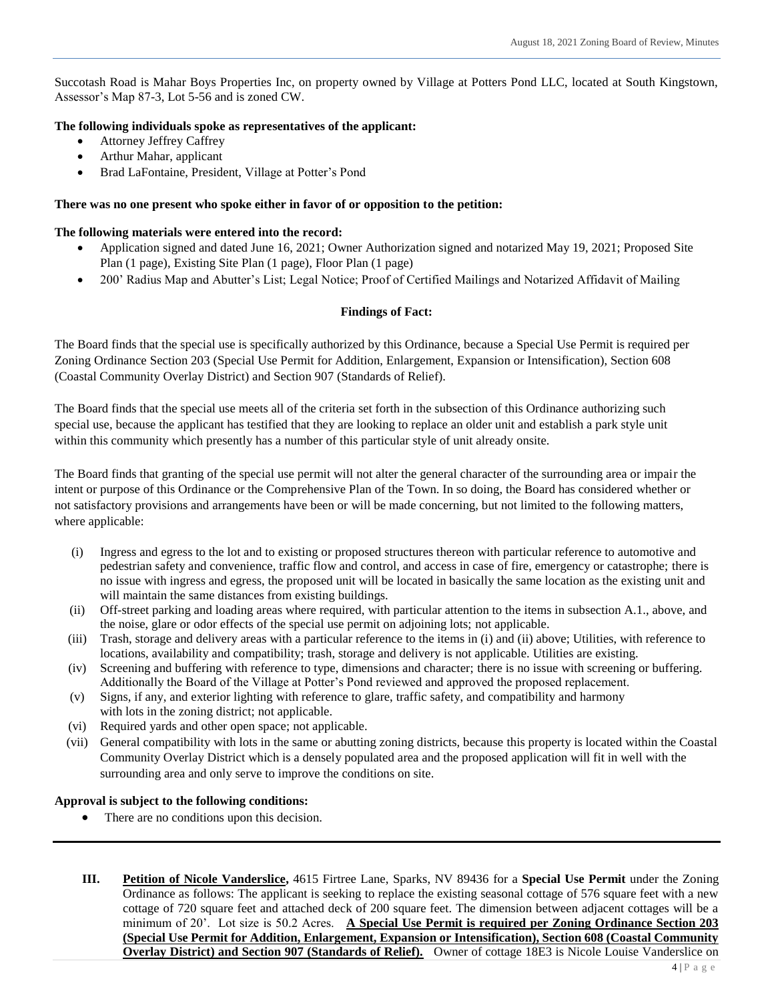Succotash Road is Mahar Boys Properties Inc, on property owned by Village at Potters Pond LLC, located at South Kingstown, Assessor's Map 87-3, Lot 5-56 and is zoned CW.

# **The following individuals spoke as representatives of the applicant:**

- Attorney Jeffrey Caffrey
- Arthur Mahar, applicant
- Brad LaFontaine, President, Village at Potter's Pond

## **There was no one present who spoke either in favor of or opposition to the petition:**

#### **The following materials were entered into the record:**

- Application signed and dated June 16, 2021; Owner Authorization signed and notarized May 19, 2021; Proposed Site Plan (1 page), Existing Site Plan (1 page), Floor Plan (1 page)
- 200' Radius Map and Abutter's List; Legal Notice; Proof of Certified Mailings and Notarized Affidavit of Mailing

# **Findings of Fact:**

The Board finds that the special use is specifically authorized by this Ordinance, because a Special Use Permit is required per Zoning Ordinance Section 203 (Special Use Permit for Addition, Enlargement, Expansion or Intensification), Section 608 (Coastal Community Overlay District) and Section 907 (Standards of Relief).

The Board finds that the special use meets all of the criteria set forth in the subsection of this Ordinance authorizing such special use, because the applicant has testified that they are looking to replace an older unit and establish a park style unit within this community which presently has a number of this particular style of unit already onsite.

The Board finds that granting of the special use permit will not alter the general character of the surrounding area or impair the intent or purpose of this Ordinance or the Comprehensive Plan of the Town. In so doing, the Board has considered whether or not satisfactory provisions and arrangements have been or will be made concerning, but not limited to the following matters, where applicable:

- (i) Ingress and egress to the lot and to existing or proposed structures thereon with particular reference to automotive and pedestrian safety and convenience, traffic flow and control, and access in case of fire, emergency or catastrophe; there is no issue with ingress and egress, the proposed unit will be located in basically the same location as the existing unit and will maintain the same distances from existing buildings.
- (ii) Off-street parking and loading areas where required, with particular attention to the items in subsection A.1., above, and the noise, glare or odor effects of the special use permit on adjoining lots; not applicable.
- (iii) Trash, storage and delivery areas with a particular reference to the items in (i) and (ii) above; Utilities, with reference to locations, availability and compatibility; trash, storage and delivery is not applicable. Utilities are existing.
- (iv) Screening and buffering with reference to type, dimensions and character; there is no issue with screening or buffering. Additionally the Board of the Village at Potter's Pond reviewed and approved the proposed replacement.
- (v) Signs, if any, and exterior lighting with reference to glare, traffic safety, and compatibility and harmony with lots in the zoning district; not applicable.
- (vi) Required yards and other open space; not applicable.
- (vii) General compatibility with lots in the same or abutting zoning districts, because this property is located within the Coastal Community Overlay District which is a densely populated area and the proposed application will fit in well with the surrounding area and only serve to improve the conditions on site.

# **Approval is subject to the following conditions:**

- There are no conditions upon this decision.
- **III. Petition of Nicole Vanderslice,** 4615 Firtree Lane, Sparks, NV 89436 for a **Special Use Permit** under the Zoning Ordinance as follows: The applicant is seeking to replace the existing seasonal cottage of 576 square feet with a new cottage of 720 square feet and attached deck of 200 square feet. The dimension between adjacent cottages will be a minimum of 20'. Lot size is 50.2 Acres. **A Special Use Permit is required per Zoning Ordinance Section 203 (Special Use Permit for Addition, Enlargement, Expansion or Intensification), Section 608 (Coastal Community Overlay District) and Section 907 (Standards of Relief).** Owner of cottage 18E3 is Nicole Louise Vanderslice on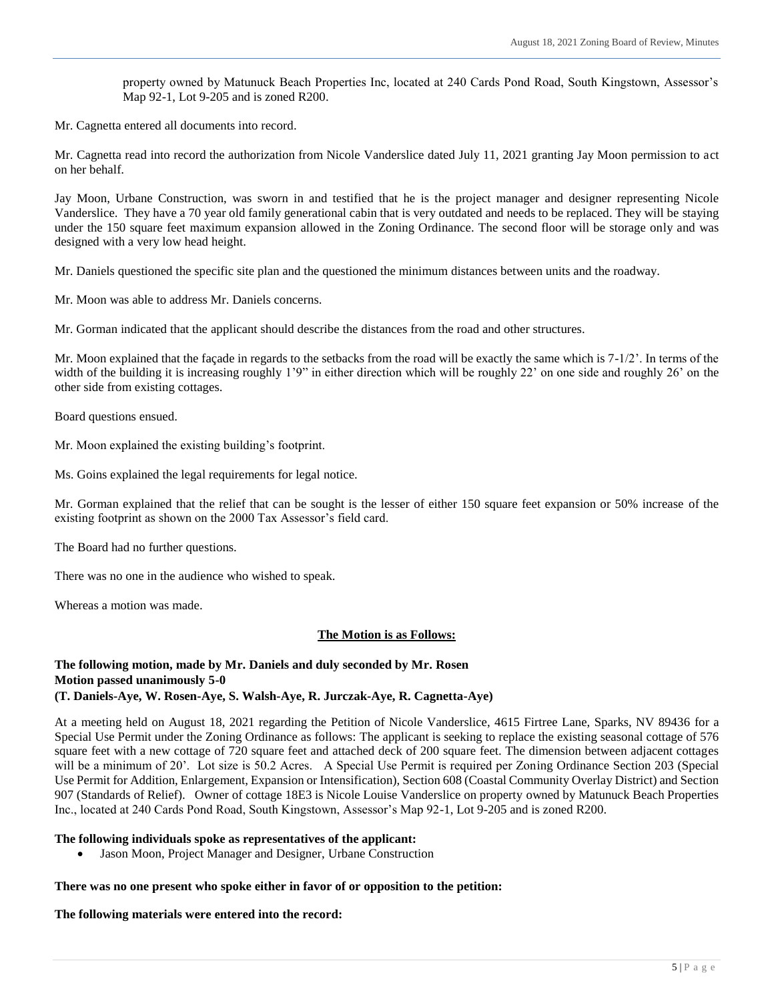property owned by Matunuck Beach Properties Inc, located at 240 Cards Pond Road, South Kingstown, Assessor's Map 92-1, Lot 9-205 and is zoned R200.

Mr. Cagnetta entered all documents into record.

Mr. Cagnetta read into record the authorization from Nicole Vanderslice dated July 11, 2021 granting Jay Moon permission to act on her behalf.

Jay Moon, Urbane Construction, was sworn in and testified that he is the project manager and designer representing Nicole Vanderslice. They have a 70 year old family generational cabin that is very outdated and needs to be replaced. They will be staying under the 150 square feet maximum expansion allowed in the Zoning Ordinance. The second floor will be storage only and was designed with a very low head height.

Mr. Daniels questioned the specific site plan and the questioned the minimum distances between units and the roadway.

Mr. Moon was able to address Mr. Daniels concerns.

Mr. Gorman indicated that the applicant should describe the distances from the road and other structures.

Mr. Moon explained that the façade in regards to the setbacks from the road will be exactly the same which is  $7-1/2$ . In terms of the width of the building it is increasing roughly 1'9" in either direction which will be roughly 22' on one side and roughly 26' on the other side from existing cottages.

Board questions ensued.

Mr. Moon explained the existing building's footprint.

Ms. Goins explained the legal requirements for legal notice.

Mr. Gorman explained that the relief that can be sought is the lesser of either 150 square feet expansion or 50% increase of the existing footprint as shown on the 2000 Tax Assessor's field card.

The Board had no further questions.

There was no one in the audience who wished to speak.

Whereas a motion was made.

#### **The Motion is as Follows:**

#### **The following motion, made by Mr. Daniels and duly seconded by Mr. Rosen Motion passed unanimously 5-0 (T. Daniels-Aye, W. Rosen-Aye, S. Walsh-Aye, R. Jurczak-Aye, R. Cagnetta-Aye)**

At a meeting held on August 18, 2021 regarding the Petition of Nicole Vanderslice, 4615 Firtree Lane, Sparks, NV 89436 for a Special Use Permit under the Zoning Ordinance as follows: The applicant is seeking to replace the existing seasonal cottage of 576 square feet with a new cottage of 720 square feet and attached deck of 200 square feet. The dimension between adjacent cottages will be a minimum of 20'. Lot size is 50.2 Acres. A Special Use Permit is required per Zoning Ordinance Section 203 (Special Use Permit for Addition, Enlargement, Expansion or Intensification), Section 608 (Coastal Community Overlay District) and Section 907 (Standards of Relief). Owner of cottage 18E3 is Nicole Louise Vanderslice on property owned by Matunuck Beach Properties Inc., located at 240 Cards Pond Road, South Kingstown, Assessor's Map 92-1, Lot 9-205 and is zoned R200.

#### **The following individuals spoke as representatives of the applicant:**

Jason Moon, Project Manager and Designer, Urbane Construction

#### **There was no one present who spoke either in favor of or opposition to the petition:**

**The following materials were entered into the record:**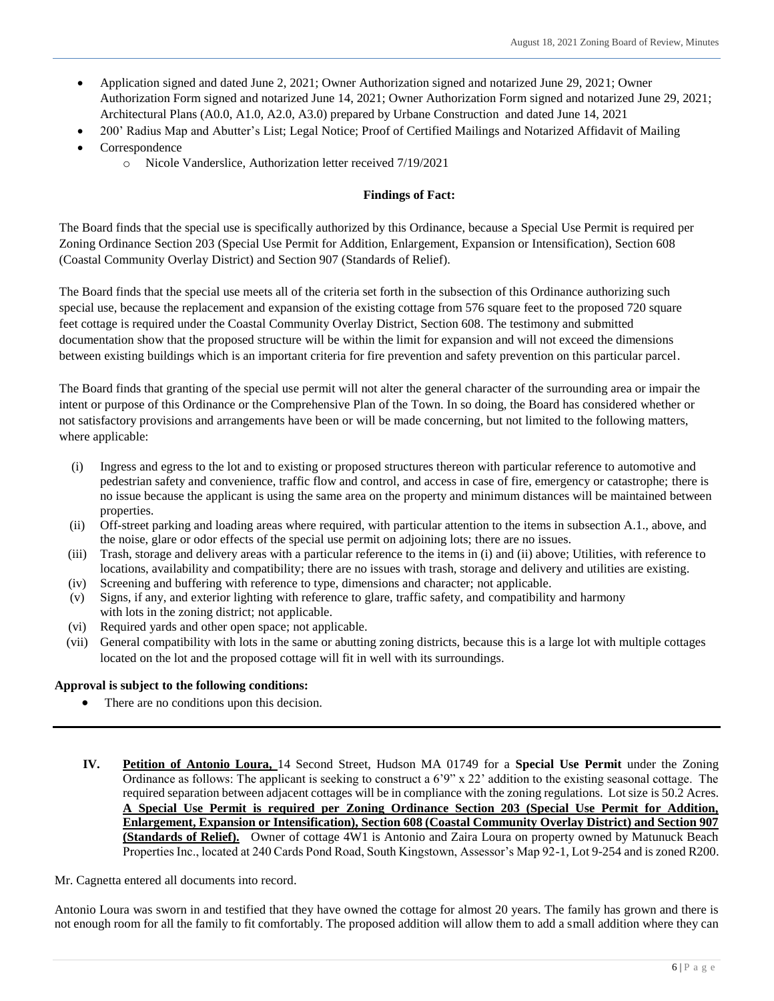- Application signed and dated June 2, 2021; Owner Authorization signed and notarized June 29, 2021; Owner Authorization Form signed and notarized June 14, 2021; Owner Authorization Form signed and notarized June 29, 2021; Architectural Plans (A0.0, A1.0, A2.0, A3.0) prepared by Urbane Construction and dated June 14, 2021
- 200' Radius Map and Abutter's List; Legal Notice; Proof of Certified Mailings and Notarized Affidavit of Mailing
- Correspondence
	- o Nicole Vanderslice, Authorization letter received 7/19/2021

# **Findings of Fact:**

The Board finds that the special use is specifically authorized by this Ordinance, because a Special Use Permit is required per Zoning Ordinance Section 203 (Special Use Permit for Addition, Enlargement, Expansion or Intensification), Section 608 (Coastal Community Overlay District) and Section 907 (Standards of Relief).

The Board finds that the special use meets all of the criteria set forth in the subsection of this Ordinance authorizing such special use, because the replacement and expansion of the existing cottage from 576 square feet to the proposed 720 square feet cottage is required under the Coastal Community Overlay District, Section 608. The testimony and submitted documentation show that the proposed structure will be within the limit for expansion and will not exceed the dimensions between existing buildings which is an important criteria for fire prevention and safety prevention on this particular parcel.

The Board finds that granting of the special use permit will not alter the general character of the surrounding area or impair the intent or purpose of this Ordinance or the Comprehensive Plan of the Town. In so doing, the Board has considered whether or not satisfactory provisions and arrangements have been or will be made concerning, but not limited to the following matters, where applicable:

- (i) Ingress and egress to the lot and to existing or proposed structures thereon with particular reference to automotive and pedestrian safety and convenience, traffic flow and control, and access in case of fire, emergency or catastrophe; there is no issue because the applicant is using the same area on the property and minimum distances will be maintained between properties.
- (ii) Off-street parking and loading areas where required, with particular attention to the items in subsection A.1., above, and the noise, glare or odor effects of the special use permit on adjoining lots; there are no issues.
- (iii) Trash, storage and delivery areas with a particular reference to the items in (i) and (ii) above; Utilities, with reference to locations, availability and compatibility; there are no issues with trash, storage and delivery and utilities are existing.
- (iv) Screening and buffering with reference to type, dimensions and character; not applicable.
- (v) Signs, if any, and exterior lighting with reference to glare, traffic safety, and compatibility and harmony with lots in the zoning district; not applicable.
- (vi) Required yards and other open space; not applicable.
- (vii) General compatibility with lots in the same or abutting zoning districts, because this is a large lot with multiple cottages located on the lot and the proposed cottage will fit in well with its surroundings.

# **Approval is subject to the following conditions:**

- There are no conditions upon this decision.
- **IV. Petition of Antonio Loura,** 14 Second Street, Hudson MA 01749 for a **Special Use Permit** under the Zoning Ordinance as follows: The applicant is seeking to construct a 6'9" x 22' addition to the existing seasonal cottage. The required separation between adjacent cottages will be in compliance with the zoning regulations. Lot size is 50.2 Acres. **A Special Use Permit is required per Zoning Ordinance Section 203 (Special Use Permit for Addition, Enlargement, Expansion or Intensification), Section 608 (Coastal Community Overlay District) and Section 907 (Standards of Relief).** Owner of cottage 4W1 is Antonio and Zaira Loura on property owned by Matunuck Beach Properties Inc., located at 240 Cards Pond Road, South Kingstown, Assessor's Map 92-1, Lot 9-254 and is zoned R200.

#### Mr. Cagnetta entered all documents into record.

Antonio Loura was sworn in and testified that they have owned the cottage for almost 20 years. The family has grown and there is not enough room for all the family to fit comfortably. The proposed addition will allow them to add a small addition where they can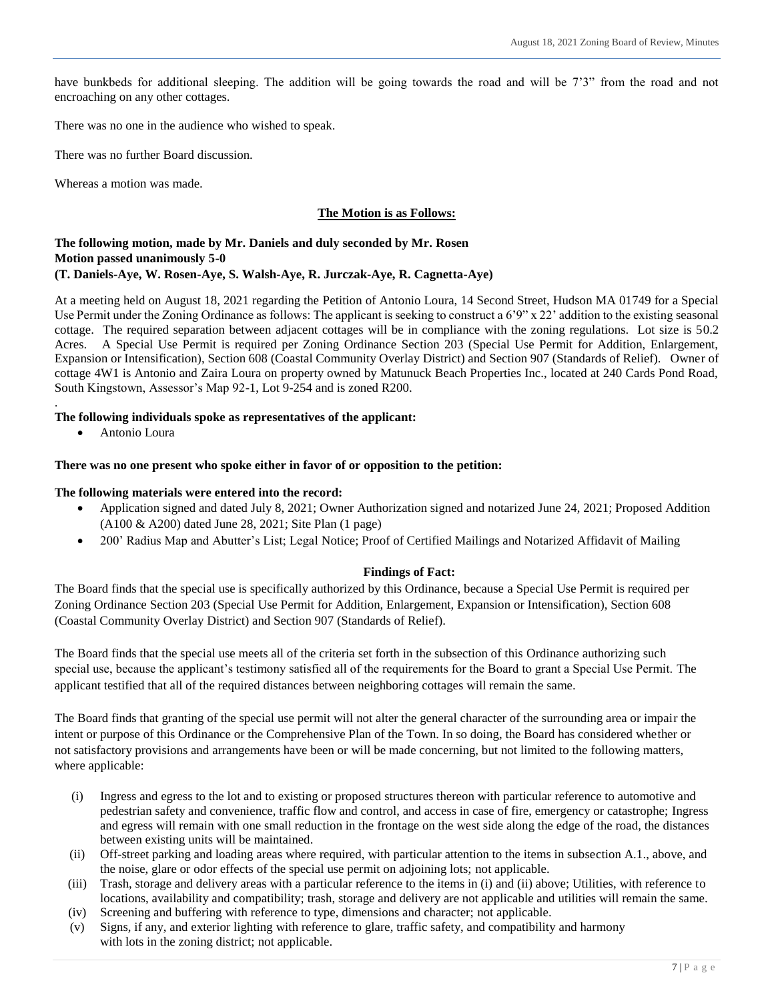have bunkbeds for additional sleeping. The addition will be going towards the road and will be 7'3" from the road and not encroaching on any other cottages.

There was no one in the audience who wished to speak.

There was no further Board discussion.

Whereas a motion was made.

# **The Motion is as Follows:**

# **The following motion, made by Mr. Daniels and duly seconded by Mr. Rosen Motion passed unanimously 5-0 (T. Daniels-Aye, W. Rosen-Aye, S. Walsh-Aye, R. Jurczak-Aye, R. Cagnetta-Aye)**

At a meeting held on August 18, 2021 regarding the Petition of Antonio Loura, 14 Second Street, Hudson MA 01749 for a Special Use Permit under the Zoning Ordinance as follows: The applicant is seeking to construct a 6'9" x 22' addition to the existing seasonal cottage. The required separation between adjacent cottages will be in compliance with the zoning regulations. Lot size is 50.2 Acres. A Special Use Permit is required per Zoning Ordinance Section 203 (Special Use Permit for Addition, Enlargement, Expansion or Intensification), Section 608 (Coastal Community Overlay District) and Section 907 (Standards of Relief). Owner of cottage 4W1 is Antonio and Zaira Loura on property owned by Matunuck Beach Properties Inc., located at 240 Cards Pond Road, South Kingstown, Assessor's Map 92-1, Lot 9-254 and is zoned R200.

# **The following individuals spoke as representatives of the applicant:**

Antonio Loura

.

# **There was no one present who spoke either in favor of or opposition to the petition:**

#### **The following materials were entered into the record:**

- Application signed and dated July 8, 2021; Owner Authorization signed and notarized June 24, 2021; Proposed Addition (A100 & A200) dated June 28, 2021; Site Plan (1 page)
- 200' Radius Map and Abutter's List; Legal Notice; Proof of Certified Mailings and Notarized Affidavit of Mailing

# **Findings of Fact:**

The Board finds that the special use is specifically authorized by this Ordinance, because a Special Use Permit is required per Zoning Ordinance Section 203 (Special Use Permit for Addition, Enlargement, Expansion or Intensification), Section 608 (Coastal Community Overlay District) and Section 907 (Standards of Relief).

The Board finds that the special use meets all of the criteria set forth in the subsection of this Ordinance authorizing such special use, because the applicant's testimony satisfied all of the requirements for the Board to grant a Special Use Permit. The applicant testified that all of the required distances between neighboring cottages will remain the same.

The Board finds that granting of the special use permit will not alter the general character of the surrounding area or impair the intent or purpose of this Ordinance or the Comprehensive Plan of the Town. In so doing, the Board has considered whether or not satisfactory provisions and arrangements have been or will be made concerning, but not limited to the following matters, where applicable:

- (i) Ingress and egress to the lot and to existing or proposed structures thereon with particular reference to automotive and pedestrian safety and convenience, traffic flow and control, and access in case of fire, emergency or catastrophe; Ingress and egress will remain with one small reduction in the frontage on the west side along the edge of the road, the distances between existing units will be maintained.
- (ii) Off-street parking and loading areas where required, with particular attention to the items in subsection A.1., above, and the noise, glare or odor effects of the special use permit on adjoining lots; not applicable.
- (iii) Trash, storage and delivery areas with a particular reference to the items in (i) and (ii) above; Utilities, with reference to locations, availability and compatibility; trash, storage and delivery are not applicable and utilities will remain the same.
- (iv) Screening and buffering with reference to type, dimensions and character; not applicable.
- (v) Signs, if any, and exterior lighting with reference to glare, traffic safety, and compatibility and harmony with lots in the zoning district; not applicable.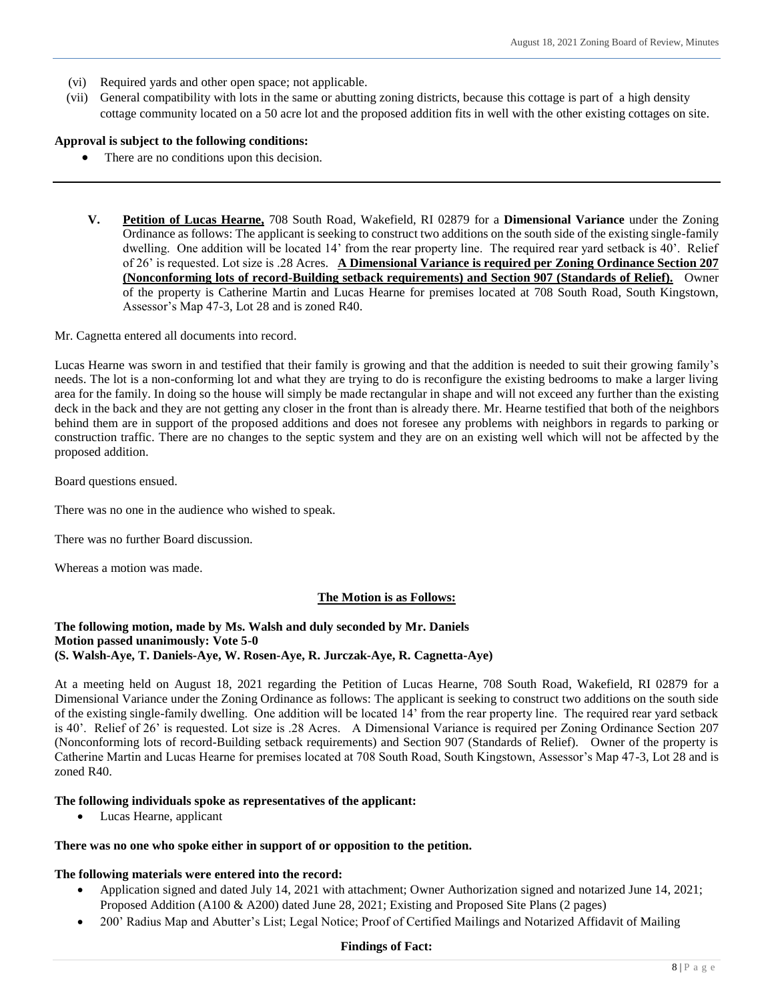- (vi) Required yards and other open space; not applicable.
- (vii) General compatibility with lots in the same or abutting zoning districts, because this cottage is part of a high density cottage community located on a 50 acre lot and the proposed addition fits in well with the other existing cottages on site.

#### **Approval is subject to the following conditions:**

- There are no conditions upon this decision.
- **V. Petition of Lucas Hearne,** 708 South Road, Wakefield, RI 02879 for a **Dimensional Variance** under the Zoning Ordinance as follows: The applicant is seeking to construct two additions on the south side of the existing single-family dwelling. One addition will be located 14' from the rear property line. The required rear yard setback is 40'. Relief of 26' is requested. Lot size is .28 Acres. **A Dimensional Variance is required per Zoning Ordinance Section 207 (Nonconforming lots of record-Building setback requirements) and Section 907 (Standards of Relief).** Owner of the property is Catherine Martin and Lucas Hearne for premises located at 708 South Road, South Kingstown, Assessor's Map 47-3, Lot 28 and is zoned R40.

Mr. Cagnetta entered all documents into record.

Lucas Hearne was sworn in and testified that their family is growing and that the addition is needed to suit their growing family's needs. The lot is a non-conforming lot and what they are trying to do is reconfigure the existing bedrooms to make a larger living area for the family. In doing so the house will simply be made rectangular in shape and will not exceed any further than the existing deck in the back and they are not getting any closer in the front than is already there. Mr. Hearne testified that both of the neighbors behind them are in support of the proposed additions and does not foresee any problems with neighbors in regards to parking or construction traffic. There are no changes to the septic system and they are on an existing well which will not be affected by the proposed addition.

Board questions ensued.

There was no one in the audience who wished to speak.

There was no further Board discussion.

Whereas a motion was made.

#### **The Motion is as Follows:**

#### **The following motion, made by Ms. Walsh and duly seconded by Mr. Daniels Motion passed unanimously: Vote 5-0 (S. Walsh-Aye, T. Daniels-Aye, W. Rosen-Aye, R. Jurczak-Aye, R. Cagnetta-Aye)**

At a meeting held on August 18, 2021 regarding the Petition of Lucas Hearne, 708 South Road, Wakefield, RI 02879 for a Dimensional Variance under the Zoning Ordinance as follows: The applicant is seeking to construct two additions on the south side of the existing single-family dwelling. One addition will be located 14' from the rear property line. The required rear yard setback is 40'. Relief of 26' is requested. Lot size is .28 Acres. A Dimensional Variance is required per Zoning Ordinance Section 207 (Nonconforming lots of record-Building setback requirements) and Section 907 (Standards of Relief). Owner of the property is Catherine Martin and Lucas Hearne for premises located at 708 South Road, South Kingstown, Assessor's Map 47-3, Lot 28 and is zoned R40.

#### **The following individuals spoke as representatives of the applicant:**

Lucas Hearne, applicant

#### **There was no one who spoke either in support of or opposition to the petition.**

#### **The following materials were entered into the record:**

- Application signed and dated July 14, 2021 with attachment; Owner Authorization signed and notarized June 14, 2021; Proposed Addition (A100 & A200) dated June 28, 2021; Existing and Proposed Site Plans (2 pages)
- 200' Radius Map and Abutter's List; Legal Notice; Proof of Certified Mailings and Notarized Affidavit of Mailing

#### **Findings of Fact:**